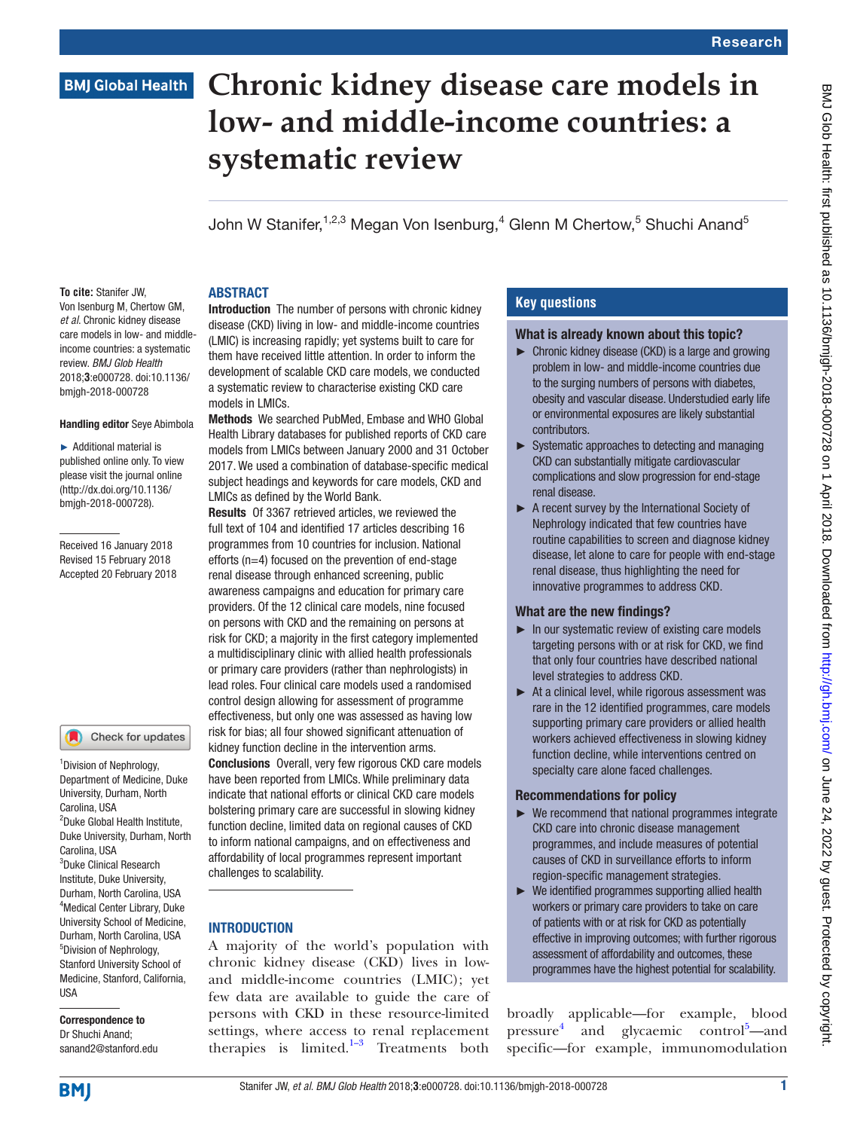# **BMJ Global Health**

# **Chronic kidney disease care models in low- and middle-income countries: a systematic review**

John W Stanifer,<sup>1,2,3</sup> Megan Von Isenburg,<sup>4</sup> Glenn M Chertow,<sup>5</sup> Shuchi Anand<sup>5</sup>

#### **ABSTRACT**

**To cite:** Stanifer JW, Von Isenburg M, Chertow GM, *et al*. Chronic kidney disease care models in low- and middleincome countries: a systematic review. *BMJ Glob Health* 2018;**3**:e000728. doi:10.1136/ bmjgh-2018-000728

#### Handling editor Seye Abimbola

► Additional material is published online only. To view please visit the journal online (http://dx.doi.org/10.1136/ bmjgh-2018-000728).

Received 16 January 2018 Revised 15 February 2018 Accepted 20 February 2018

Check for updates

<sup>1</sup> Division of Nephrology, Department of Medicine, Duke University, Durham, North Carolina, USA <sup>2</sup>Duke Global Health Institute, Duke University, Durham, North Carolina, USA 3 Duke Clinical Research Institute, Duke University, Durham, North Carolina, USA 4 Medical Center Library, Duke University School of Medicine, Durham, North Carolina, USA 5 Division of Nephrology, Stanford University School of Medicine, Stanford, California, **IISA** 

Correspondence to Dr Shuchi Anand; sanand2@stanford.edu

Introduction The number of persons with chronic kidney disease (CKD) living in low- and middle-income countries (LMIC) is increasing rapidly; yet systems built to care for them have received little attention. In order to inform the development of scalable CKD care models, we conducted a systematic review to characterise existing CKD care models in LMICs.

Methods We searched PubMed, Embase and WHO Global Health Library databases for published reports of CKD care models from LMICs between January 2000 and 31 October 2017. We used a combination of database-specific medical subject headings and keywords for care models, CKD and LMICs as defined by the World Bank.

Results Of 3367 retrieved articles, we reviewed the full text of 104 and identified 17 articles describing 16 programmes from 10 countries for inclusion. National efforts (n=4) focused on the prevention of end-stage renal disease through enhanced screening, public awareness campaigns and education for primary care providers. Of the 12 clinical care models, nine focused on persons with CKD and the remaining on persons at risk for CKD; a majority in the first category implemented a multidisciplinary clinic with allied health professionals or primary care providers (rather than nephrologists) in lead roles. Four clinical care models used a randomised control design allowing for assessment of programme effectiveness, but only one was assessed as having low risk for bias; all four showed significant attenuation of kidney function decline in the intervention arms.

Conclusions Overall, very few rigorous CKD care models have been reported from LMICs. While preliminary data indicate that national efforts or clinical CKD care models bolstering primary care are successful in slowing kidney function decline, limited data on regional causes of CKD to inform national campaigns, and on effectiveness and affordability of local programmes represent important challenges to scalability.

#### **INTRODUCTION**

A majority of the world's population with chronic kidney disease (CKD) lives in lowand middle-income countries (LMIC); yet few data are available to guide the care of persons with CKD in these resource-limited settings, where access to renal replacement therapies is limited. $1-3$  Treatments both

## **Key questions**

#### What is already known about this topic?

- ► Chronic kidney disease (CKD) is a large and growing problem in low- and middle-income countries due to the surging numbers of persons with diabetes, obesity and vascular disease. Understudied early life or environmental exposures are likely substantial contributors.
- ► Systematic approaches to detecting and managing CKD can substantially mitigate cardiovascular complications and slow progression for end-stage renal disease.
- ► A recent survey by the International Society of Nephrology indicated that few countries have routine capabilities to screen and diagnose kidney disease, let alone to care for people with end-stage renal disease, thus highlighting the need for innovative programmes to address CKD.

#### What are the new findings?

- $\blacktriangleright$  In our systematic review of existing care models targeting persons with or at risk for CKD, we find that only four countries have described national level strategies to address CKD.
- ► At a clinical level, while rigorous assessment was rare in the 12 identified programmes, care models supporting primary care providers or allied health workers achieved effectiveness in slowing kidney function decline, while interventions centred on specialty care alone faced challenges.

#### Recommendations for policy

- $\blacktriangleright$  We recommend that national programmes integrate CKD care into chronic disease management programmes, and include measures of potential causes of CKD in surveillance efforts to inform region-specific management strategies.
- ► We identified programmes supporting allied health workers or primary care providers to take on care of patients with or at risk for CKD as potentially effective in improving outcomes; with further rigorous assessment of affordability and outcomes, these programmes have the highest potential for scalability.

broadly applicable—for example, blood pressure[4](#page-6-1) and glycaemic control<sup>5</sup>—and specific—for example, immunomodulation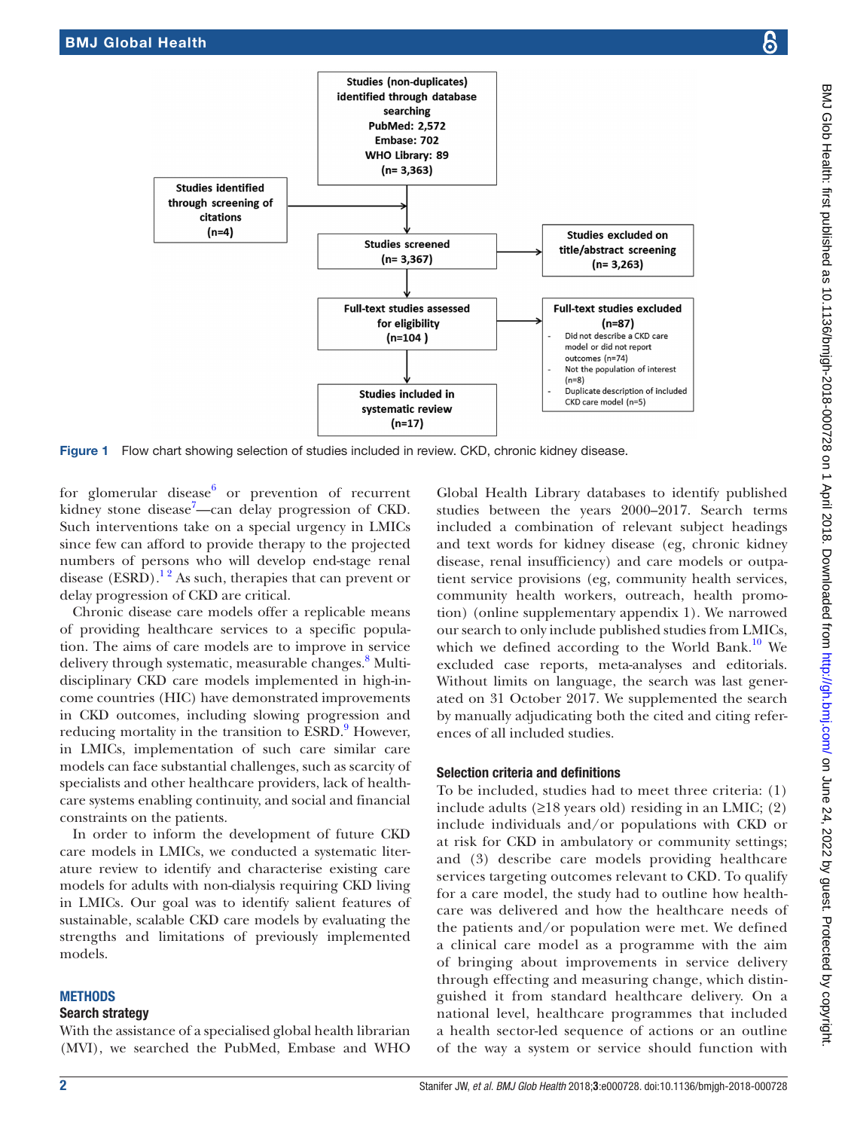

<span id="page-1-0"></span>Figure 1 Flow chart showing selection of studies included in review. CKD, chronic kidney disease.

for glomerular disease<sup>[6](#page-7-1)</sup> or prevention of recurrent kidney stone disease<sup>[7](#page-7-2)</sup>—can delay progression of CKD. Such interventions take on a special urgency in LMICs since few can afford to provide therapy to the projected numbers of persons who will develop end-stage renal disease  $(ESRD).<sup>12</sup>$  As such, therapies that can prevent or delay progression of CKD are critical.

Chronic disease care models offer a replicable means of providing healthcare services to a specific population. The aims of care models are to improve in service delivery through systematic, measurable changes.<sup>8</sup> Multidisciplinary CKD care models implemented in high-income countries (HIC) have demonstrated improvements in CKD outcomes, including slowing progression and reducing mortality in the transition to ESRD.<sup>[9](#page-7-4)</sup> However, in LMICs, implementation of such care similar care models can face substantial challenges, such as scarcity of specialists and other healthcare providers, lack of healthcare systems enabling continuity, and social and financial constraints on the patients.

In order to inform the development of future CKD care models in LMICs, we conducted a systematic literature review to identify and characterise existing care models for adults with non-dialysis requiring CKD living in LMICs. Our goal was to identify salient features of sustainable, scalable CKD care models by evaluating the strengths and limitations of previously implemented models.

#### **METHODS**

#### Search strategy

With the assistance of a specialised global health librarian (MVI), we searched the PubMed, Embase and WHO

Global Health Library databases to identify published studies between the years 2000–2017. Search terms included a combination of relevant subject headings and text words for kidney disease (eg, chronic kidney disease, renal insufficiency) and care models or outpatient service provisions (eg, community health services, community health workers, outreach, health promotion) (online [supplementary appendix 1](https://dx.doi.org/10.1136/bmjgh-2018-000728)). We narrowed our search to only include published studies from LMICs, which we defined according to the World Bank.<sup>[10](#page-7-5)</sup> We excluded case reports, meta-analyses and editorials. Without limits on language, the search was last generated on 31 October 2017. We supplemented the search by manually adjudicating both the cited and citing references of all included studies.

#### Selection criteria and definitions

To be included, studies had to meet three criteria: (1) include adults  $(≥18$  years old) residing in an LMIC;  $(2)$ include individuals and/or populations with CKD or at risk for CKD in ambulatory or community settings; and (3) describe care models providing healthcare services targeting outcomes relevant to CKD. To qualify for a care model, the study had to outline how healthcare was delivered and how the healthcare needs of the patients and/or population were met. We defined a clinical care model as a programme with the aim of bringing about improvements in service delivery through effecting and measuring change, which distinguished it from standard healthcare delivery. On a national level, healthcare programmes that included a health sector-led sequence of actions or an outline of the way a system or service should function with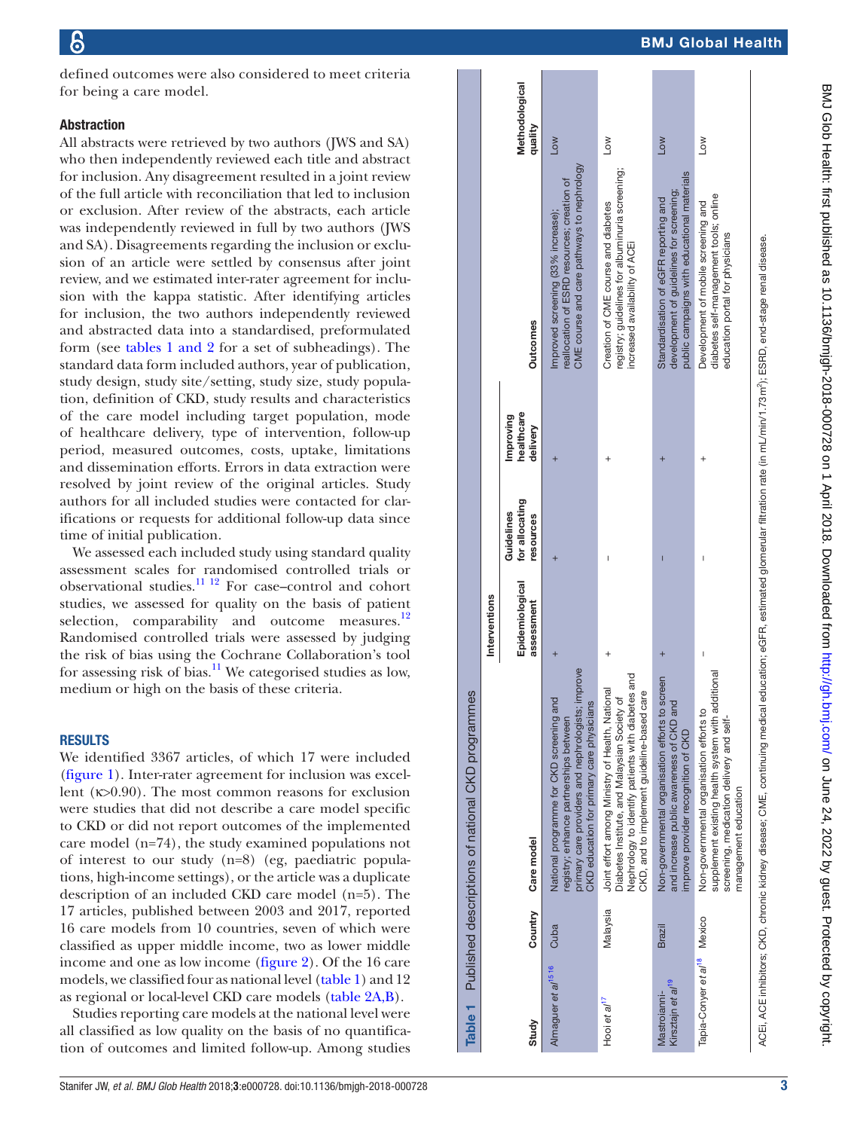defined outcomes were also considered to meet criteria for being a care model.

#### Abstraction

All abstracts were retrieved by two authors (JWS and SA) who then independently reviewed each title and abstract for inclusion. Any disagreement resulted in a joint review of the full article with reconciliation that led to inclusion or exclusion. After review of the abstracts, each article was independently reviewed in full by two authors (JWS and SA). Disagreements regarding the inclusion or exclusion of an article were settled by consensus after joint review, and we estimated inter-rater agreement for inclusion with the kappa statistic. After identifying articles for inclusion, the two authors independently reviewed and abstracted data into a standardised, preformulated form (see tables [1 and 2](#page-2-0) for a set of subheadings). The standard data form included authors, year of publication, study design, study site/setting, study size, study population, definition of CKD, study results and characteristics of the care model including target population, mode of healthcare delivery, type of intervention, follow-up period, measured outcomes, costs, uptake, limitations and dissemination efforts. Errors in data extraction were resolved by joint review of the original articles. Study authors for all included studies were contacted for clarifications or requests for additional follow-up data since time of initial publication.

We assessed each included study using standard quality assessment scales for randomised controlled trials or observational studies. $11^{11}$  For case–control and cohort studies, we assessed for quality on the basis of patient selection, comparability and outcome measures. $12$ Randomised controlled trials were assessed by judging the risk of bias using the Cochrane Collaboration's tool for assessing risk of bias. $\frac{11}{10}$  We categorised studies as low, medium or high on the basis of these criteria.

#### **RESULTS**

We identified 3367 articles, of which 17 were included [\(figure](#page-1-0) 1). Inter-rater agreement for inclusion was excellent (κ>0.90). The most common reasons for exclusion were studies that did not describe a care model specific to CKD or did not report outcomes of the implemented care model (n=74), the study examined populations not of interest to our study (n=8) (eg, paediatric populations, high-income settings), or the article was a duplicate description of an included CKD care model (n=5). The 17 articles, published between 2003 and 2017, reported 16 care models from 10 countries, seven of which were classified as upper middle income, two as lower middle income and one as low income [\(figure](#page-3-0) 2). Of the 16 care models, we classified four as national level [\(table](#page-2-0) 1) and 12 as regional or local-level CKD care models (table 2A,B).

<span id="page-2-0"></span>Studies reporting care models at the national level were all classified as low quality on the basis of no quantification of outcomes and limited follow-up. Among studies

|                                               |          | Table 1 Published descriptions of national CKD programmes                                                                                                                                             |                               |                                           |                                     |                                                                                                                                  |                           |
|-----------------------------------------------|----------|-------------------------------------------------------------------------------------------------------------------------------------------------------------------------------------------------------|-------------------------------|-------------------------------------------|-------------------------------------|----------------------------------------------------------------------------------------------------------------------------------|---------------------------|
|                                               |          |                                                                                                                                                                                                       | Interventions                 |                                           |                                     |                                                                                                                                  |                           |
| Study                                         | Country  | Care model                                                                                                                                                                                            | Epidemiological<br>assessment | for allocating<br>Guidelines<br>resources | healthcare<br>Improving<br>delivery | <b>Outcomes</b>                                                                                                                  | Methodological<br>quality |
| Almaguer et al <sup>1516</sup>                | Cuba     | primary care providers and nephrologists; improve<br>National programme for CKD screening and<br>CKD education for primary care physicians<br>registry; enhance partnerships between                  |                               |                                           |                                     | CME course and care pathways to nephrology<br>reallocation of ESRD resources; creation of<br>Improved screening (33% increase);  | <b>NO7</b>                |
| Hooi et al <sup>17</sup>                      | Malaysia | Nephrology to identify patients with diabetes and<br>National<br>CKD, and to implement guideline-based care<br>Diabetes Institute, and Malaysian Society of<br>Joint effort among Ministry of Health, |                               |                                           |                                     | registry; guidelines for albuminuria screening;<br>Creation of CME course and diabetes<br>increased availability of ACEI         | <b>NOT</b>                |
| Kirsztajn et al <sup>19</sup><br>Mastroianni- | Brazil   | Non-governmental organisation efforts to screen<br>and increase public awareness of CKD and<br>improve provider recognition of CKD                                                                    |                               |                                           |                                     | public campaigns with educational materials<br>development of guidelines for screening;<br>Standardisation of eGFR reporting and | Low                       |
| Tapia-Conyer et al <sup>18</sup> Mexico       |          | supplement existing health system with additional<br>Non-governmental organisation efforts to<br>screening, medication delivery and sel<br>management education                                       | I                             |                                           |                                     | diabetes self-management tools; online<br>Development of mobile screening and<br>education portal for physicians                 | Low                       |
|                                               |          | ACEi, ACE inhibitors; CKD, chronic kidney disease; CME, continuing medical education; eGFR, estimated glomerular filtration rate (in mL/min/1,73m <sup>2</sup> ); ESRD, end-stage renal disease.      |                               |                                           |                                     |                                                                                                                                  |                           |

BMJ Glob Health: first published as 10.1136/bmigh-2018-000728 on 1 April 2018. Downloaded from http://gh.bmj.com/ on June 24, 2022 by guest. Protected by copyright BMJ Glob Health: first published as 10.1136/bmjgh-2018-000728 on 1 April 2018. Downloaded from <http://gh.bmj.com/> on June 24, 2022 by guest. Protected by copyright.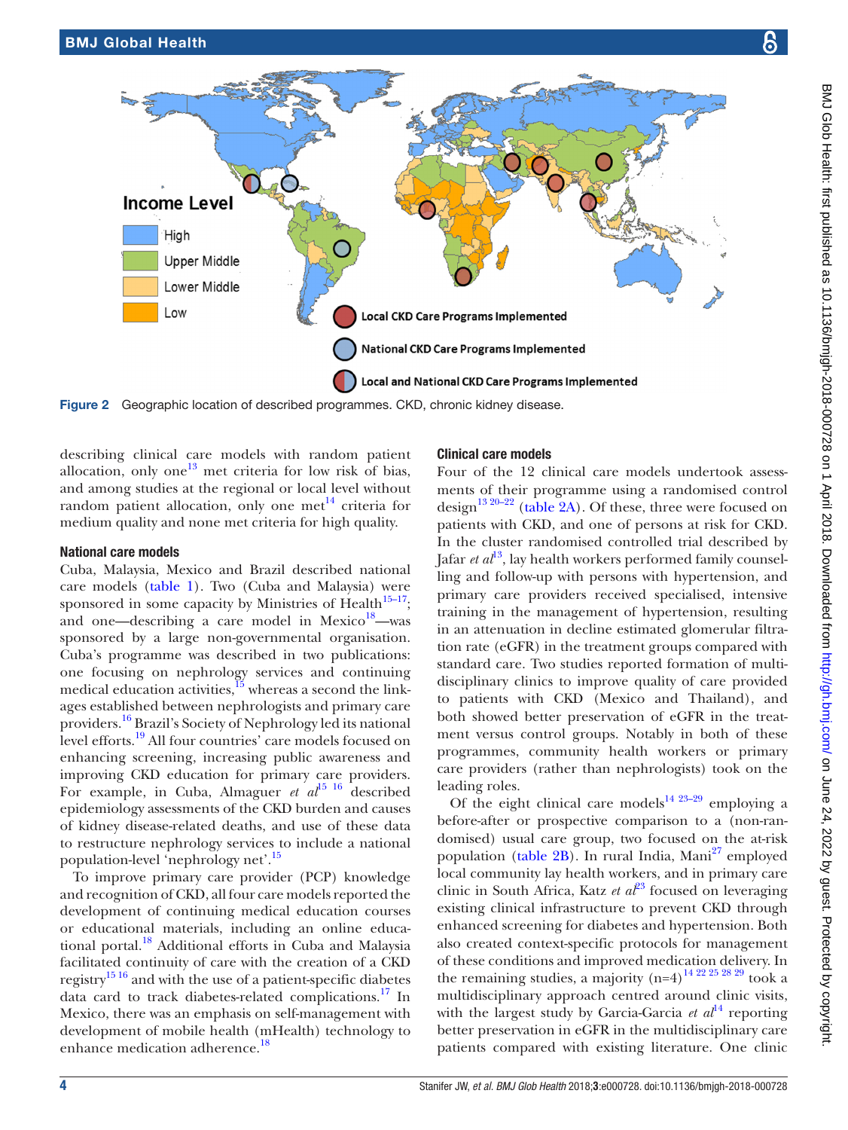

<span id="page-3-0"></span>describing clinical care models with random patient allocation, only one<sup>13</sup> met criteria for low risk of bias, and among studies at the regional or local level without random patient allocation, only one met $^{14}$  $^{14}$  $^{14}$  criteria for medium quality and none met criteria for high quality.

# National care models

Cuba, Malaysia, Mexico and Brazil described national care models [\(table](#page-2-0) 1). Two (Cuba and Malaysia) were sponsored in some capacity by Ministries of Health $15-17$ ; and one—describing a care model in Mexico $18$ —was sponsored by a large non-governmental organisation. Cuba's programme was described in two publications: one focusing on nephrology services and continuing medical education activities, $15$  whereas a second the linkages established between nephrologists and primary care providers.[16](#page-7-14) Brazil's Society of Nephrology led its national level efforts.[19](#page-7-10) All four countries' care models focused on enhancing screening, increasing public awareness and improving CKD education for primary care providers. For example, in Cuba, Almaguer *et*  $a l^{15}$ <sup>16</sup> described epidemiology assessments of the CKD burden and causes of kidney disease-related deaths, and use of these data to restructure nephrology services to include a national population-level 'nephrology net'.[15](#page-7-8)

To improve primary care provider (PCP) knowledge and recognition of CKD, all four care models reported the development of continuing medical education courses or educational materials, including an online educational portal.[18](#page-7-11) Additional efforts in Cuba and Malaysia facilitated continuity of care with the creation of a CKD registr[y15 16](#page-7-8) and with the use of a patient-specific diabetes data card to track diabetes-related complications.<sup>[17](#page-7-9)</sup> In Mexico, there was an emphasis on self-management with development of mobile health (mHealth) technology to enhance medication adherence.<sup>[18](#page-7-11)</sup>

## Clinical care models

Four of the 12 clinical care models undertook assessments of their programme using a randomised control design<sup>13 20–22</sup> (table 2A). Of these, three were focused on patients with CKD, and one of persons at risk for CKD. In the cluster randomised controlled trial described by Jafar *et*  $al^3$ , lay health workers performed family counselling and follow-up with persons with hypertension, and primary care providers received specialised, intensive training in the management of hypertension, resulting in an attenuation in decline estimated glomerular filtration rate (eGFR) in the treatment groups compared with standard care. Two studies reported formation of multidisciplinary clinics to improve quality of care provided to patients with CKD (Mexico and Thailand), and both showed better preservation of eGFR in the treatment versus control groups. Notably in both of these programmes, community health workers or primary care providers (rather than nephrologists) took on the leading roles.

Of the eight clinical care models<sup>14 23–29</sup> employing a before-after or prospective comparison to a (non-randomised) usual care group, two focused on the at-risk population (table  $2B$ ). In rural India, Mani<sup>27</sup> employed local community lay health workers, and in primary care clinic in South Africa, Katz *et*  $a^{23}$  $a^{23}$  $a^{23}$  focused on leveraging existing clinical infrastructure to prevent CKD through enhanced screening for diabetes and hypertension. Both also created context-specific protocols for management of these conditions and improved medication delivery. In the remaining studies, a majority  $(n=4)^{14}$   $^{22}$   $^{25}$   $^{28}$   $^{29}$  took a multidisciplinary approach centred around clinic visits, with the largest study by Garcia-Garcia *et*  $al<sup>14</sup>$  reporting better preservation in eGFR in the multidisciplinary care patients compared with existing literature. One clinic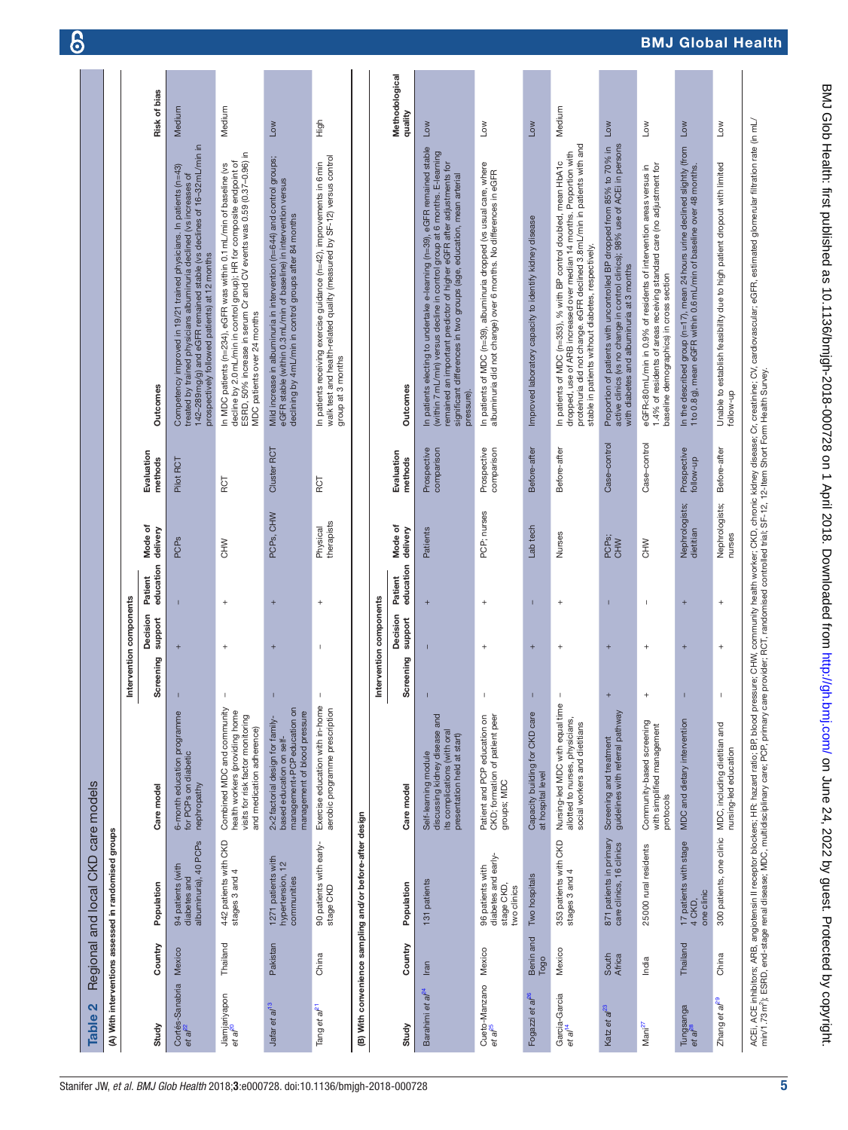|                                                                         |                                                      |                         | Risk of bias          | Medium                                                                                                                                                                                                                                                             | Medium                                                                                                                                                                                                                                              |                                                                                                                                                                                                           |                                                                                                                                                                       |                                                          |                         | Methodological        |                                                                                                                                                                                                                                                                                                                      |                                                                                                                                           |                                                         | Medium                                                                                                                                                                                                                                                                       |                                                                                                                                                                                                     |                                                                                                                                                                                        |                                                                                                                                                   |                                                                                       |
|-------------------------------------------------------------------------|------------------------------------------------------|-------------------------|-----------------------|--------------------------------------------------------------------------------------------------------------------------------------------------------------------------------------------------------------------------------------------------------------------|-----------------------------------------------------------------------------------------------------------------------------------------------------------------------------------------------------------------------------------------------------|-----------------------------------------------------------------------------------------------------------------------------------------------------------------------------------------------------------|-----------------------------------------------------------------------------------------------------------------------------------------------------------------------|----------------------------------------------------------|-------------------------|-----------------------|----------------------------------------------------------------------------------------------------------------------------------------------------------------------------------------------------------------------------------------------------------------------------------------------------------------------|-------------------------------------------------------------------------------------------------------------------------------------------|---------------------------------------------------------|------------------------------------------------------------------------------------------------------------------------------------------------------------------------------------------------------------------------------------------------------------------------------|-----------------------------------------------------------------------------------------------------------------------------------------------------------------------------------------------------|----------------------------------------------------------------------------------------------------------------------------------------------------------------------------------------|---------------------------------------------------------------------------------------------------------------------------------------------------|---------------------------------------------------------------------------------------|
|                                                                         |                                                      |                         |                       | 크.                                                                                                                                                                                                                                                                 |                                                                                                                                                                                                                                                     | Mo7                                                                                                                                                                                                       | High                                                                                                                                                                  |                                                          |                         | quality               | $\sum$                                                                                                                                                                                                                                                                                                               | Low                                                                                                                                       | <b>Low</b>                                              |                                                                                                                                                                                                                                                                              | <b>Low</b>                                                                                                                                                                                          | Low                                                                                                                                                                                    | Mo7                                                                                                                                               | Low                                                                                   |
|                                                                         |                                                      |                         | Outcomes              | 142-289 mg/g) and eGFR remained stable (vs declines of 16-32 mL/min<br>Competency improved in 19/21 trained physicians. In patients (n=43)<br>treated by trained physicians albuminuria declined (vs increases of<br>prospectively followed patients) at 12 months | decline by 2.0 mL/min in control group); HR for composite endpoint of<br>ESRD, 50% increase in serum Cr and CV events was 0.59 (0.37–0.96) in<br>In MDC patients (n=234), eGFR was within 0.1 mL/min of baseline (vs<br>MDC patients over 24 months | Mild increase in albuminuria in intervention (n=644) and control groups;<br>eGFR stable (within 0.3 mL/min of baseline) in intervention versus<br>declining by 4 mL/min in control groups after 84 months | In patients receiving exercise guidance (n=42), improvements in 6 min<br>walk test and health-related quality (measured by SF-12) versus control<br>group at 3 months |                                                          |                         | Outcomes              | In patients electing to undertake e-learning (n=39), eGFR remained stable<br>(within 7 mL/min) versus decline in control group at 6 months. E-learning<br>remained an important predictor of higher eGFR after adjustments for<br>significant differences in two groups (age, education, mean arterial<br>pressure). | In patients of MDC (n=39), albuminuria dropped (vs usual care, where<br>albuminuria did not change) over 6 months. No differences in eGFR | Improved laboratory capacity to identify kidney disease | proteinuria did not change. eGFR declined 3.8 mL/min in patients with and<br>dropped, use of ARB increased over median 14 months. Proportion with<br>In patients of MDC (n=353), % with BP control doubled, mean HbA1c<br>stable in patients without diabetes, respectively. | Proportion of patients with uncontrolled BP dropped from 85% to 70% in<br>active clinics (vs no change in control clinics); 98% use of ACEi in persons<br>with diabetes and albuminuria at 3 months | 1.4% of residents of areas receiving standard care (no adjustment for<br>eGFR<80mL/min in 0.9% of residents of intervention areas versus in<br>baseline demographics) in cross section | In the described group (n=17), mean 24 hours urine declined slightly (from<br>1 to 0.8g), mean eGFR within 0.6 mL/min of baseline over 48 months. | Unable to establish feasibility due to high patient dropout with limited<br>follow-up |
|                                                                         |                                                      |                         | Evaluation<br>methods | Pilot RCT                                                                                                                                                                                                                                                          | RCT                                                                                                                                                                                                                                                 | Cluster RCT                                                                                                                                                                                               | RCT                                                                                                                                                                   |                                                          |                         | Evaluation<br>methods | Prospective<br>comparison                                                                                                                                                                                                                                                                                            | comparison<br>Prospective                                                                                                                 | Before-after                                            | Before-after                                                                                                                                                                                                                                                                 | Case-control                                                                                                                                                                                        | Case-control                                                                                                                                                                           | Prospective<br>follow-up                                                                                                                          | Before-after                                                                          |
|                                                                         |                                                      |                         | Mode of<br>delivery   | <b>PCPs</b>                                                                                                                                                                                                                                                        | <b>CHW</b>                                                                                                                                                                                                                                          | PCPs, CHW                                                                                                                                                                                                 | Physical<br>therapists                                                                                                                                                |                                                          |                         | Mode of<br>delivery   | Patients                                                                                                                                                                                                                                                                                                             | PCP; nurses                                                                                                                               | Lab tech                                                | Nurses                                                                                                                                                                                                                                                                       | PCP <sub>S</sub> ;<br>CHW                                                                                                                                                                           | CH <sub>N</sub>                                                                                                                                                                        | Nephrologists;<br>dietitian                                                                                                                       | Nephrologists;<br>nurses                                                              |
|                                                                         |                                                      |                         | education<br>Patient  |                                                                                                                                                                                                                                                                    | $^{+}$                                                                                                                                                                                                                                              | $\begin{array}{c} + \end{array}$                                                                                                                                                                          | $^{+}$                                                                                                                                                                |                                                          |                         | education<br>Patient  | $\ddot{}$                                                                                                                                                                                                                                                                                                            | $^{+}$                                                                                                                                    | ī                                                       | $^{+}$                                                                                                                                                                                                                                                                       | $\mathbf{I}$                                                                                                                                                                                        | $\mathbf{I}$                                                                                                                                                                           | $\ddot{}$                                                                                                                                         |                                                                                       |
|                                                                         |                                                      | Intervention components | Decision<br>support   | ÷                                                                                                                                                                                                                                                                  | $\ddot{}$                                                                                                                                                                                                                                           | $^{+}$                                                                                                                                                                                                    | $\overline{\phantom{a}}$                                                                                                                                              |                                                          | Intervention components | Decision<br>support   |                                                                                                                                                                                                                                                                                                                      | $\ddot{}$                                                                                                                                 | ÷                                                       | $^{+}$                                                                                                                                                                                                                                                                       | $\ddot{}$                                                                                                                                                                                           | $^{+}$                                                                                                                                                                                 | $\ddot{}$                                                                                                                                         | $\! + \!\!\!\!$                                                                       |
|                                                                         |                                                      |                         | Screening             |                                                                                                                                                                                                                                                                    |                                                                                                                                                                                                                                                     |                                                                                                                                                                                                           | $\,$ $\,$                                                                                                                                                             |                                                          |                         | Screening             |                                                                                                                                                                                                                                                                                                                      |                                                                                                                                           | ī                                                       | $\overline{\phantom{a}}$                                                                                                                                                                                                                                                     | $\ddot{}$                                                                                                                                                                                           | $^{+}$                                                                                                                                                                                 |                                                                                                                                                   | Ţ                                                                                     |
| Regional and local CKD care models<br>$\mathbf{\Omega}$<br><b>Table</b> |                                                      |                         | Care model            | 6-month education programme<br>for PCPs on diabetic<br>nephropathy                                                                                                                                                                                                 | Combined MDC and community<br>health workers (providing home<br>visits for risk factor monitoring<br>and medication adherence)                                                                                                                      | management+PCP education on<br>management of blood pressure<br>2x2factorial design for family-<br>based education on self-                                                                                | Exercise education with in-home<br>aerobic programme prescription                                                                                                     |                                                          |                         | Care model            | Self-learning module<br>discussing kidney disease and<br>its complications (with oral<br>presentation held at start)                                                                                                                                                                                                 | CKD; formation of patient peer<br>Patient and PCP education on<br>groups; MDC                                                             | Capacity building for CKD care<br>at hospital level     | Nursing-led MDC with equal time<br>allotted to nurses, physicians,<br>social workers and dietitians                                                                                                                                                                          | Screening and treatment<br>guidelines with referral pathway                                                                                                                                         | Community-based screening<br>with simplified management<br>protocols                                                                                                                   | MDC and dietary intervention                                                                                                                      | 300 patients, one clinic MDC, including dietitian and<br>nursing-led education        |
|                                                                         | (A) With interventions assessed in randomised groups |                         | Population            | albuminuria), 40 PCPs<br>94 patients (with<br>diabetes and                                                                                                                                                                                                         | 442 patients with CKD<br>stages 3 and 4                                                                                                                                                                                                             | 1271 patients with<br>hypertension, 12<br>communities                                                                                                                                                     | 90 patients with early-<br>stage CKD                                                                                                                                  | (B) With convenience sampling and/or before-after design |                         | Population            | 131 patients                                                                                                                                                                                                                                                                                                         | diabetes and early-<br>96 patients with<br>stage CKD,<br>two clinics                                                                      | Two hospitals                                           | 353 patients with CKD<br>stages 3 and 4                                                                                                                                                                                                                                      | 871 patients in primary<br>care clinics, 16 clinics                                                                                                                                                 | 25000 rural residents                                                                                                                                                                  | 17 patients with stage<br>one clinic<br>4 CKD.                                                                                                    |                                                                                       |
|                                                                         |                                                      |                         | Country               | Mexico                                                                                                                                                                                                                                                             | Thailand                                                                                                                                                                                                                                            | Pakistan                                                                                                                                                                                                  | China                                                                                                                                                                 |                                                          |                         | Country               | Iran                                                                                                                                                                                                                                                                                                                 | Mexico                                                                                                                                    | Benin and<br>Togo                                       | Mexico                                                                                                                                                                                                                                                                       | South<br>Africa                                                                                                                                                                                     | India                                                                                                                                                                                  | Thailand                                                                                                                                          | China                                                                                 |
|                                                                         |                                                      |                         | Study                 | Cortés-Sanabria<br>et al <sup>22</sup>                                                                                                                                                                                                                             | Jiamjariyapon<br>et al <sup>20</sup>                                                                                                                                                                                                                | Jafar et al <sup>13</sup>                                                                                                                                                                                 | Tang et al <sup>e1</sup>                                                                                                                                              |                                                          |                         | Study                 | al <sup>24</sup><br>Barahimi et                                                                                                                                                                                                                                                                                      | Cueto-Manzano<br>et al <sup>25</sup>                                                                                                      | Fogazzi et a <sup>p6</sup>                              | Garcia-Garcia<br>et a/ <sup>14</sup>                                                                                                                                                                                                                                         | Katz et al <sup>23</sup>                                                                                                                                                                            | $Mani^{27}$                                                                                                                                                                            | Tungsanga<br><i>et al<sup>28</sup></i>                                                                                                            | Zhang et al <sup>29</sup>                                                             |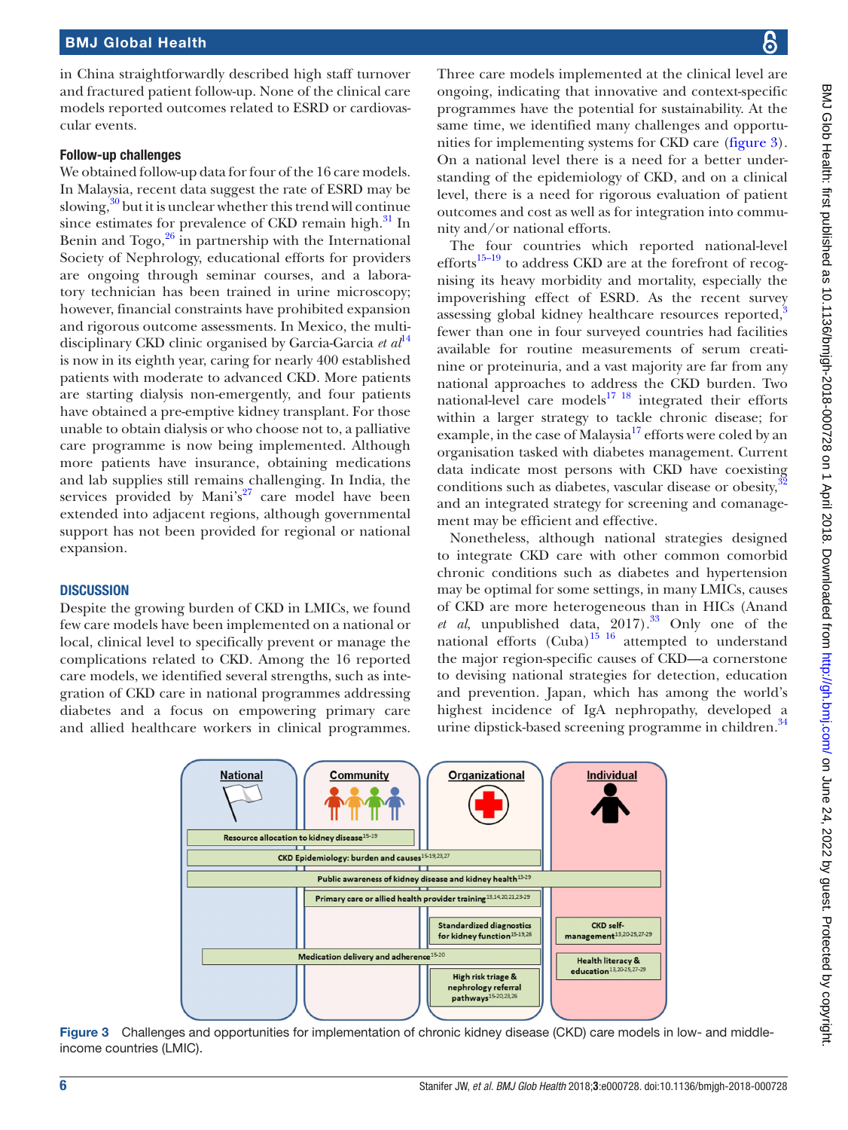in China straightforwardly described high staff turnover and fractured patient follow-up. None of the clinical care models reported outcomes related to ESRD or cardiovascular events.

### Follow-up challenges

We obtained follow-up data for four of the 16 care models. In Malaysia, recent data suggest the rate of ESRD may be slowing, $30$  but it is unclear whether this trend will continue since estimates for prevalence of CKD remain high. $31$  In Benin and  $Togo<sub>26</sub>$  in partnership with the International Society of Nephrology, educational efforts for providers are ongoing through seminar courses, and a laboratory technician has been trained in urine microscopy; however, financial constraints have prohibited expansion and rigorous outcome assessments. In Mexico, the multidisciplinary CKD clinic organised by Garcia-Garcia *et al*<sup>[14](#page-7-13)</sup> is now in its eighth year, caring for nearly 400 established patients with moderate to advanced CKD. More patients are starting dialysis non-emergently, and four patients have obtained a pre-emptive kidney transplant. For those unable to obtain dialysis or who choose not to, a palliative care programme is now being implemented. Although more patients have insurance, obtaining medications and lab supplies still remains challenging. In India, the services provided by Mani's<sup>[27](#page-7-15)</sup> care model have been extended into adjacent regions, although governmental support has not been provided for regional or national expansion.

## **DISCUSSION**

Despite the growing burden of CKD in LMICs, we found few care models have been implemented on a national or local, clinical level to specifically prevent or manage the complications related to CKD. Among the 16 reported care models, we identified several strengths, such as integration of CKD care in national programmes addressing diabetes and a focus on empowering primary care and allied healthcare workers in clinical programmes.

Three care models implemented at the clinical level are ongoing, indicating that innovative and context-specific programmes have the potential for sustainability. At the same time, we identified many challenges and opportunities for implementing systems for CKD care [\(figure](#page-5-0) 3). On a national level there is a need for a better understanding of the epidemiology of CKD, and on a clinical level, there is a need for rigorous evaluation of patient outcomes and cost as well as for integration into community and/or national efforts.

The four countries which reported national-level efforts<sup>15-19</sup> to address CKD are at the forefront of recognising its heavy morbidity and mortality, especially the impoverishing effect of ESRD. As the recent survey assessing global kidney healthcare resources reported,<sup>3</sup> fewer than one in four surveyed countries had facilities available for routine measurements of serum creatinine or proteinuria, and a vast majority are far from any national approaches to address the CKD burden. Two national-level care models $17 \frac{18}{18}$  integrated their efforts within a larger strategy to tackle chronic disease; for example, in the case of Malaysia<sup>[17](#page-7-9)</sup> efforts were coled by an organisation tasked with diabetes management. Current data indicate most persons with CKD have coexisting conditions such as diabetes, vascular disease or obesity,<sup>[32](#page-7-27)</sup> and an integrated strategy for screening and comanagement may be efficient and effective.

Nonetheless, although national strategies designed to integrate CKD care with other common comorbid chronic conditions such as diabetes and hypertension may be optimal for some settings, in many LMICs, causes of CKD are more heterogeneous than in HICs (Anand *et al*, unpublished data, 2017).<sup>[33](#page-7-28)</sup> Only one of the national efforts  $(Cuba)^{15}$  16 attempted to understand the major region-specific causes of CKD—a cornerstone to devising national strategies for detection, education and prevention. Japan, which has among the world's highest incidence of IgA nephropathy, developed a urine dipstick-based screening programme in children.<sup>[34](#page-7-29)</sup>



<span id="page-5-0"></span>Figure 3 Challenges and opportunities for implementation of chronic kidney disease (CKD) care models in low- and middleincome countries (LMIC).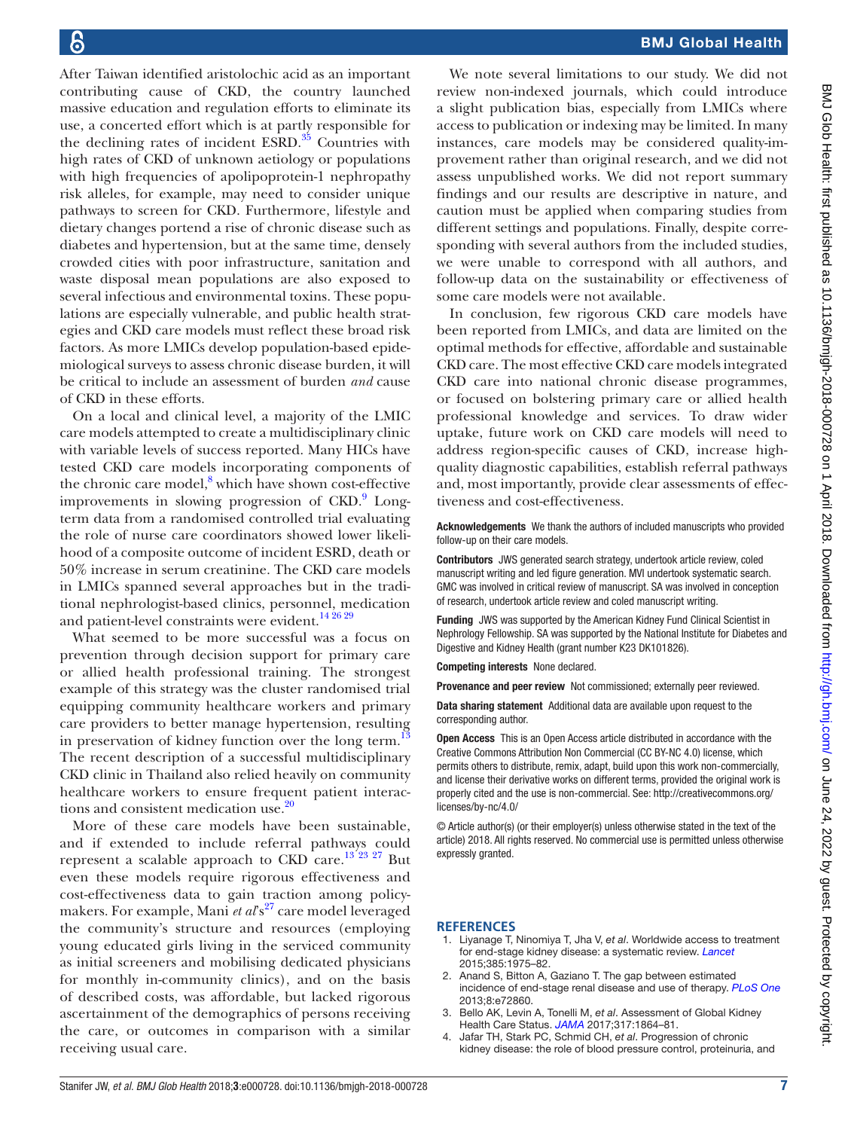After Taiwan identified aristolochic acid as an important contributing cause of CKD, the country launched massive education and regulation efforts to eliminate its use, a concerted effort which is at partly responsible for the declining rates of incident  $ESRD$ <sup>35</sup> Countries with high rates of CKD of unknown aetiology or populations with high frequencies of apolipoprotein-1 nephropathy risk alleles, for example, may need to consider unique pathways to screen for CKD. Furthermore, lifestyle and dietary changes portend a rise of chronic disease such as diabetes and hypertension, but at the same time, densely crowded cities with poor infrastructure, sanitation and waste disposal mean populations are also exposed to several infectious and environmental toxins. These populations are especially vulnerable, and public health strategies and CKD care models must reflect these broad risk factors. As more LMICs develop population-based epidemiological surveys to assess chronic disease burden, it will be critical to include an assessment of burden *and* cause of CKD in these efforts.

On a local and clinical level, a majority of the LMIC care models attempted to create a multidisciplinary clinic with variable levels of success reported. Many HICs have tested CKD care models incorporating components of the chronic care model,<sup>8</sup> which have shown cost-effective improvements in slowing progression of CKD.<sup>[9](#page-7-4)</sup> Longterm data from a randomised controlled trial evaluating the role of nurse care coordinators showed lower likelihood of a composite outcome of incident ESRD, death or 50% increase in serum creatinine. The CKD care models in LMICs spanned several approaches but in the traditional nephrologist-based clinics, personnel, medication and patient-level constraints were evident.<sup>[14 26 29](#page-7-13)</sup>

What seemed to be more successful was a focus on prevention through decision support for primary care or allied health professional training. The strongest example of this strategy was the cluster randomised trial equipping community healthcare workers and primary care providers to better manage hypertension, resulting in preservation of kidney function over the long term.<sup>1</sup> The recent description of a successful multidisciplinary CKD clinic in Thailand also relied heavily on community healthcare workers to ensure frequent patient interac-tions and consistent medication use.<sup>[20](#page-7-18)</sup>

More of these care models have been sustainable, and if extended to include referral pathways could represent a scalable approach to CKD care.[13 23 27](#page-7-12) But even these models require rigorous effectiveness and cost-effectiveness data to gain traction among policymakers. For example, Mani *et al*<sup>27</sup> care model leveraged the community's structure and resources (employing young educated girls living in the serviced community as initial screeners and mobilising dedicated physicians for monthly in-community clinics), and on the basis of described costs, was affordable, but lacked rigorous ascertainment of the demographics of persons receiving the care, or outcomes in comparison with a similar receiving usual care.

We note several limitations to our study. We did not review non-indexed journals, which could introduce a slight publication bias, especially from LMICs where access to publication or indexing may be limited. In many instances, care models may be considered quality-improvement rather than original research, and we did not assess unpublished works. We did not report summary findings and our results are descriptive in nature, and caution must be applied when comparing studies from different settings and populations. Finally, despite corresponding with several authors from the included studies, we were unable to correspond with all authors, and follow-up data on the sustainability or effectiveness of some care models were not available.

In conclusion, few rigorous CKD care models have been reported from LMICs, and data are limited on the optimal methods for effective, affordable and sustainable CKD care. The most effective CKD care models integrated CKD care into national chronic disease programmes, or focused on bolstering primary care or allied health professional knowledge and services. To draw wider uptake, future work on CKD care models will need to address region-specific causes of CKD, increase highquality diagnostic capabilities, establish referral pathways and, most importantly, provide clear assessments of effectiveness and cost-effectiveness.

Acknowledgements We thank the authors of included manuscripts who provided follow-up on their care models.

Contributors JWS generated search strategy, undertook article review, coled manuscript writing and led figure generation. MVI undertook systematic search. GMC was involved in critical review of manuscript. SA was involved in conception of research, undertook article review and coled manuscript writing.

Funding JWS was supported by the American Kidney Fund Clinical Scientist in Nephrology Fellowship. SA was supported by the National Institute for Diabetes and Digestive and Kidney Health (grant number K23 DK101826).

Competing interests None declared.

Provenance and peer review Not commissioned; externally peer reviewed.

Data sharing statement Additional data are available upon request to the corresponding author.

Open Access This is an Open Access article distributed in accordance with the Creative Commons Attribution Non Commercial (CC BY-NC 4.0) license, which permits others to distribute, remix, adapt, build upon this work non-commercially, and license their derivative works on different terms, provided the original work is properly cited and the use is non-commercial. See: [http://creativecommons.org/](http://creativecommons.org/licenses/by-nc/4.0/) [licenses/by-nc/4.0/](http://creativecommons.org/licenses/by-nc/4.0/)

© Article author(s) (or their employer(s) unless otherwise stated in the text of the article) 2018. All rights reserved. No commercial use is permitted unless otherwise expressly granted.

#### **References**

- <span id="page-6-0"></span>1. Liyanage T, Ninomiya T, Jha V, *et al*. Worldwide access to treatment for end-stage kidney disease: a systematic review. *[Lancet](http://dx.doi.org/10.1016/S0140-6736(14)61601-9)* 2015;385:1975–82.
- 2. Anand S, Bitton A, Gaziano T. The gap between estimated incidence of end-stage renal disease and use of therapy. *[PLoS One](http://dx.doi.org/10.1371/journal.pone.0072860)* 2013;8:e72860.
- <span id="page-6-2"></span>3. Bello AK, Levin A, Tonelli M, *et al*. Assessment of Global Kidney Health Care Status. *[JAMA](http://dx.doi.org/10.1001/jama.2017.4046)* 2017;317:1864–81.
- <span id="page-6-1"></span>4. Jafar TH, Stark PC, Schmid CH, *et al*. Progression of chronic kidney disease: the role of blood pressure control, proteinuria, and